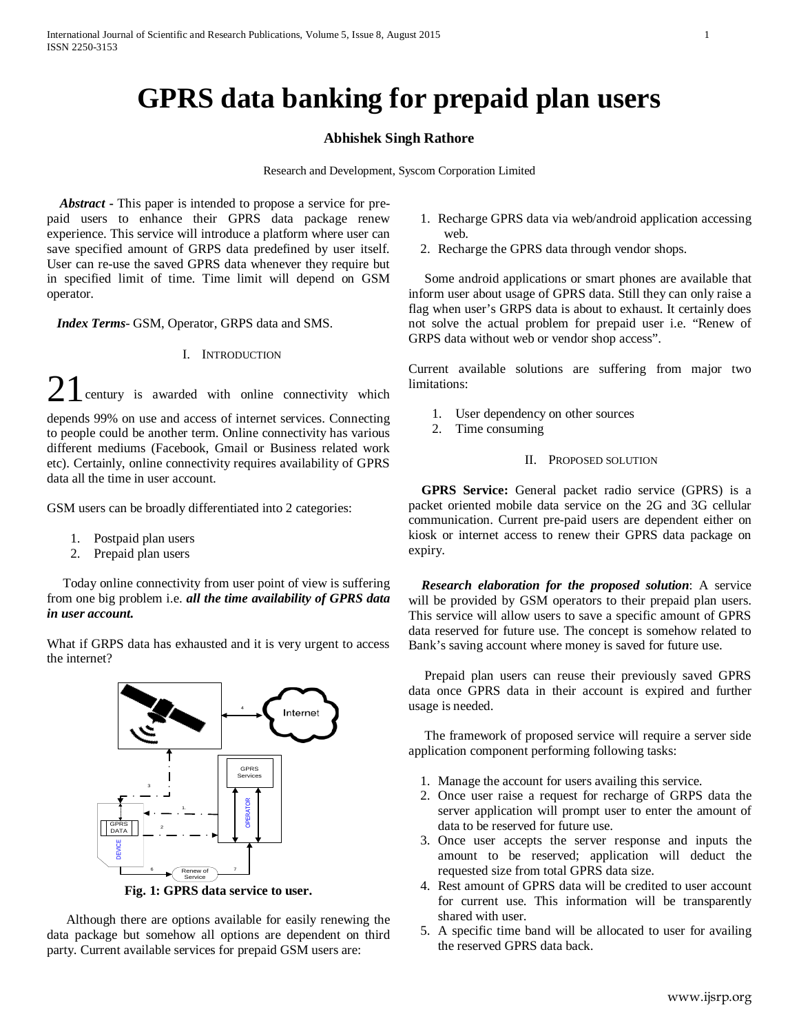# **GPRS data banking for prepaid plan users**

## **Abhishek Singh Rathore**

Research and Development, Syscom Corporation Limited

 *Abstract* **-** This paper is intended to propose a service for prepaid users to enhance their GPRS data package renew experience. This service will introduce a platform where user can save specified amount of GRPS data predefined by user itself. User can re-use the saved GPRS data whenever they require but in specified limit of time. Time limit will depend on GSM operator.

 *Index Terms*- GSM, Operator, GRPS data and SMS.

#### I. INTRODUCTION

 $21$  century is awarded with online connectivity which depends 99% on use and access of internet services. Connecting to people could be another term. Online connectivity has various

different mediums (Facebook, Gmail or Business related work etc). Certainly, online connectivity requires availability of GPRS data all the time in user account.

GSM users can be broadly differentiated into 2 categories:

- 1. Postpaid plan users
- 2. Prepaid plan users

 Today online connectivity from user point of view is suffering from one big problem i.e. *all the time availability of GPRS data in user account.*

What if GRPS data has exhausted and it is very urgent to access the internet?



**Fig. 1: GPRS data service to user.**

 Although there are options available for easily renewing the data package but somehow all options are dependent on third party. Current available services for prepaid GSM users are:

- 1. Recharge GPRS data via web/android application accessing web.
- 2. Recharge the GPRS data through vendor shops.

 Some android applications or smart phones are available that inform user about usage of GPRS data. Still they can only raise a flag when user's GRPS data is about to exhaust. It certainly does not solve the actual problem for prepaid user i.e. "Renew of GRPS data without web or vendor shop access".

Current available solutions are suffering from major two limitations:

- 1. User dependency on other sources
- 2. Time consuming
	- II. PROPOSED SOLUTION

 **GPRS Service:** General packet radio service (GPRS) is a packet oriented mobile data service on the 2G and 3G cellular communication. Current pre-paid users are dependent either on kiosk or internet access to renew their GPRS data package on expiry.

 *Research elaboration for the proposed solution*: A service will be provided by GSM operators to their prepaid plan users. This service will allow users to save a specific amount of GPRS data reserved for future use. The concept is somehow related to Bank's saving account where money is saved for future use.

 Prepaid plan users can reuse their previously saved GPRS data once GPRS data in their account is expired and further usage is needed.

 The framework of proposed service will require a server side application component performing following tasks:

- 1. Manage the account for users availing this service.
- 2. Once user raise a request for recharge of GRPS data the server application will prompt user to enter the amount of data to be reserved for future use.
- 3. Once user accepts the server response and inputs the amount to be reserved; application will deduct the requested size from total GPRS data size.
- 4. Rest amount of GPRS data will be credited to user account for current use. This information will be transparently shared with user.
- 5. A specific time band will be allocated to user for availing the reserved GPRS data back.